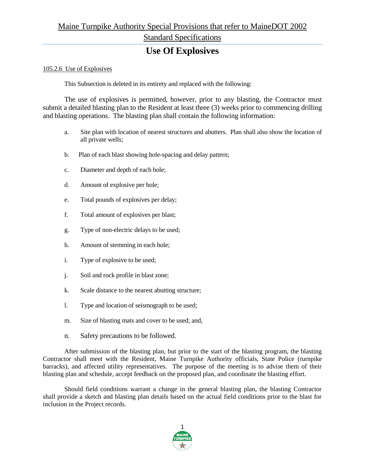## **Use Of Explosives**

#### 105.2.6 Use of Explosives

This Subsection is deleted in its entirety and replaced with the following:

The use of explosives is permitted, however, prior to any blasting, the Contractor must submit a detailed blasting plan to the Resident at least three (3) weeks prior to commencing drilling and blasting operations. The blasting plan shall contain the following information:

- a. Site plan with location of nearest structures and abutters. Plan shall also show the location of all private wells;
- b. Plan of each blast showing hole-spacing and delay pattern;
- c. Diameter and depth of each hole;
- d. Amount of explosive per hole;
- e. Total pounds of explosives per delay;
- f. Total amount of explosives per blast;
- g. Type of non-electric delays to be used;
- h. Amount of stemming in each hole;
- i. Type of explosive to be used;
- j. Soil and rock profile in blast zone;
- k. Scale distance to the nearest abutting structure;
- l. Type and location of seismograph to be used;
- m. Size of blasting mats and cover to be used; and,
- n. Safety precautions to be followed.

After submission of the blasting plan, but prior to the start of the blasting program, the blasting Contractor shall meet with the Resident, Maine Turnpike Authority officials, State Police (turnpike barracks), and affected utility representatives. The purpose of the meeting is to advise them of their blasting plan and schedule, accept feedback on the proposed plan, and coordinate the blasting effort.

Should field conditions warrant a change in the general blasting plan, the blasting Contractor shall provide a sketch and blasting plan details based on the actual field conditions prior to the blast for inclusion in the Project records.

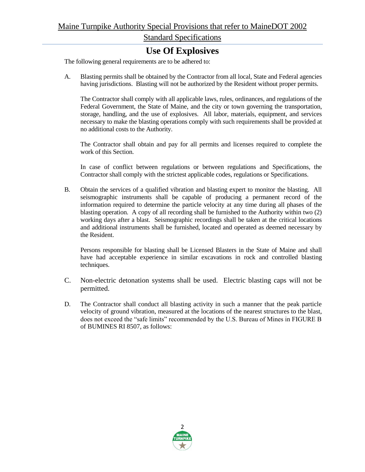## **Use Of Explosives**

The following general requirements are to be adhered to:

A. Blasting permits shall be obtained by the Contractor from all local, State and Federal agencies having jurisdictions. Blasting will not be authorized by the Resident without proper permits.

The Contractor shall comply with all applicable laws, rules, ordinances, and regulations of the Federal Government, the State of Maine, and the city or town governing the transportation, storage, handling, and the use of explosives. All labor, materials, equipment, and services necessary to make the blasting operations comply with such requirements shall be provided at no additional costs to the Authority.

The Contractor shall obtain and pay for all permits and licenses required to complete the work of this Section.

In case of conflict between regulations or between regulations and Specifications, the Contractor shall comply with the strictest applicable codes, regulations or Specifications.

B. Obtain the services of a qualified vibration and blasting expert to monitor the blasting. All seismographic instruments shall be capable of producing a permanent record of the information required to determine the particle velocity at any time during all phases of the blasting operation. A copy of all recording shall be furnished to the Authority within two (2) working days after a blast. Seismographic recordings shall be taken at the critical locations and additional instruments shall be furnished, located and operated as deemed necessary by the Resident.

Persons responsible for blasting shall be Licensed Blasters in the State of Maine and shall have had acceptable experience in similar excavations in rock and controlled blasting techniques.

- C. Non-electric detonation systems shall be used. Electric blasting caps will not be permitted.
- D. The Contractor shall conduct all blasting activity in such a manner that the peak particle velocity of ground vibration, measured at the locations of the nearest structures to the blast, does not exceed the "safe limits" recommended by the U.S. Bureau of Mines in FIGURE B of BUMINES RI 8507, as follows:

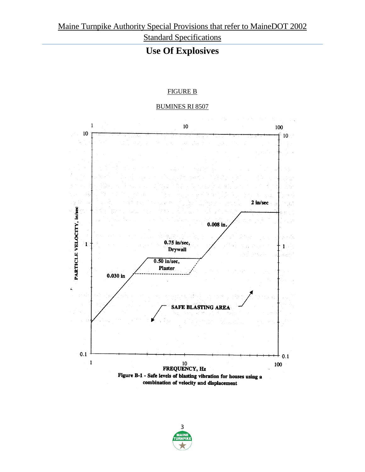# **Use Of Explosives**

### FIGURE B

### BUMINES RI 8507

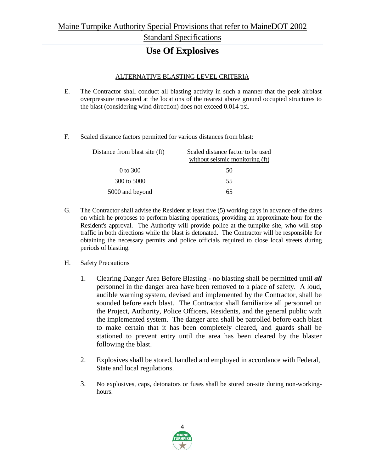## **Use Of Explosives**

### ALTERNATIVE BLASTING LEVEL CRITERIA

- E. The Contractor shall conduct all blasting activity in such a manner that the peak airblast overpressure measured at the locations of the nearest above ground occupied structures to the blast (considering wind direction) does not exceed 0.014 psi.
- F. Scaled distance factors permitted for various distances from blast:

| Distance from blast site (ft) | Scaled distance factor to be used |
|-------------------------------|-----------------------------------|
|                               | without seismic monitoring (ft)   |
| 0 to 300                      | 50                                |
| 300 to 5000                   | 55                                |
| 5000 and beyond               | 65                                |

G. The Contractor shall advise the Resident at least five (5) working days in advance of the dates on which he proposes to perform blasting operations, providing an approximate hour for the Resident's approval. The Authority will provide police at the turnpike site, who will stop traffic in both directions while the blast is detonated. The Contractor will be responsible for obtaining the necessary permits and police officials required to close local streets during periods of blasting.

#### H. Safety Precautions

- 1. Clearing Danger Area Before Blasting no blasting shall be permitted until *all* personnel in the danger area have been removed to a place of safety. A loud, audible warning system, devised and implemented by the Contractor, shall be sounded before each blast. The Contractor shall familiarize all personnel on the Project, Authority, Police Officers, Residents, and the general public with the implemented system. The danger area shall be patrolled before each blast to make certain that it has been completely cleared, and guards shall be stationed to prevent entry until the area has been cleared by the blaster following the blast.
- 2. Explosives shall be stored, handled and employed in accordance with Federal, State and local regulations.
- 3. No explosives, caps, detonators or fuses shall be stored on-site during non-workinghours.

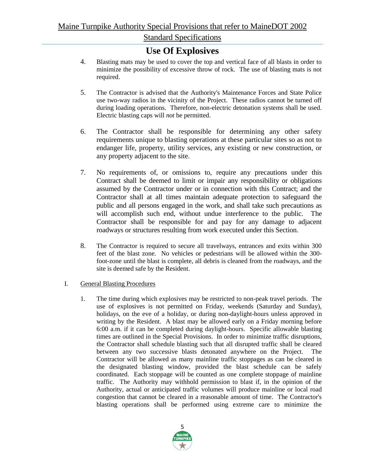## **Use Of Explosives**

- 4. Blasting mats may be used to cover the top and vertical face of all blasts in order to minimize the possibility of excessive throw of rock. The use of blasting mats is not required.
- 5. The Contractor is advised that the Authority's Maintenance Forces and State Police use two-way radios in the vicinity of the Project. These radios cannot be turned off during loading operations. Therefore, non-electric detonation systems shall be used. Electric blasting caps will *not* be permitted.
- 6. The Contractor shall be responsible for determining any other safety requirements unique to blasting operations at these particular sites so as not to endanger life, property, utility services, any existing or new construction, or any property adjacent to the site.
- 7. No requirements of, or omissions to, require any precautions under this Contract shall be deemed to limit or impair any responsibility or obligations assumed by the Contractor under or in connection with this Contract; and the Contractor shall at all times maintain adequate protection to safeguard the public and all persons engaged in the work, and shall take such precautions as will accomplish such end, without undue interference to the public. The Contractor shall be responsible for and pay for any damage to adjacent roadways or structures resulting from work executed under this Section.
- 8. The Contractor is required to secure all travelways, entrances and exits within 300 feet of the blast zone. No vehicles or pedestrians will be allowed within the 300 foot-zone until the blast is complete, all debris is cleaned from the roadways, and the site is deemed safe by the Resident.

### I. General Blasting Procedures

1. The time during which explosives may be restricted to non-peak travel periods. The use of explosives is not permitted on Friday, weekends (Saturday and Sunday), holidays, on the eve of a holiday, or during non-daylight-hours unless approved in writing by the Resident. A blast may be allowed early on a Friday morning before 6:00 a.m. if it can be completed during daylight-hours. Specific allowable blasting times are outlined in the Special Provisions. In order to minimize traffic disruptions, the Contractor shall schedule blasting such that all disrupted traffic shall be cleared between any two successive blasts detonated anywhere on the Project. The Contractor will be allowed as many mainline traffic stoppages as can be cleared in the designated blasting window, provided the blast schedule can be safely coordinated. Each stoppage will be counted as one complete stoppage of mainline traffic. The Authority may withhold permission to blast if, in the opinion of the Authority, actual or anticipated traffic volumes will produce mainline or local road congestion that cannot be cleared in a reasonable amount of time. The Contractor's blasting operations shall be performed using extreme care to minimize the

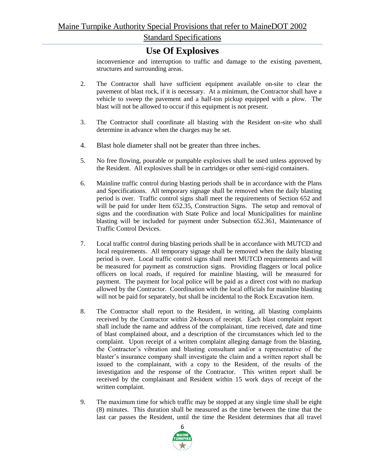### **Use Of Explosives**

inconvenience and interruption to traffic and damage to the existing pavement, structures and surrounding areas.

- 2. The Contractor shall have sufficient equipment available on-site to clear the pavement of blast rock, if it is necessary. At a minimum, the Contractor shall have a vehicle to sweep the pavement and a half-ton pickup equipped with a plow. The blast will not be allowed to occur if this equipment is not present.
- 3. The Contractor shall coordinate all blasting with the Resident on-site who shall determine in advance when the charges may be set.
- 4. Blast hole diameter shall not be greater than three inches.
- 5. No free flowing, pourable or pumpable explosives shall be used unless approved by the Resident. All explosives shall be in cartridges or other semi-rigid containers.
- 6. Mainline traffic control during blasting periods shall be in accordance with the Plans and Specifications. All temporary signage shall be removed when the daily blasting period is over. Traffic control signs shall meet the requirements of Section 652 and will be paid for under Item 652.35, Construction Signs. The setup and removal of signs and the coordination with State Police and local Municipalities for mainline blasting will be included for payment under Subsection 652.361, Maintenance of Traffic Control Devices.
- 7. Local traffic control during blasting periods shall be in accordance with MUTCD and local requirements. All temporary signage shall be removed when the daily blasting period is over. Local traffic control signs shall meet MUTCD requirements and will be measured for payment as construction signs. Providing flaggers or local police officers on local roads, if required for mainline blasting, will be measured for payment. The payment for local police will be paid as a direct cost with no markup allowed by the Contractor. Coordination with the local officials for mainline blasting will not be paid for separately, but shall be incidental to the Rock Excavation item.
- 8. The Contractor shall report to the Resident, in writing, all blasting complaints received by the Contractor within 24-hours of receipt. Each blast complaint report shall include the name and address of the complainant, time received, date and time of blast complained about, and a description of the circumstances which led to the complaint. Upon receipt of a written complaint alleging damage from the blasting, the Contractor's vibration and blasting consultant and/or a representative of the blaster's insurance company shall investigate the claim and a written report shall be issued to the complainant, with a copy to the Resident, of the results of the investigation and the response of the Contractor. This written report shall be received by the complainant and Resident within 15 work days of receipt of the written complaint.
- 9. The maximum time for which traffic may be stopped at any single time shall be eight (8) minutes. This duration shall be measured as the time between the time that the last car passes the Resident, until the time the Resident determines that all travel

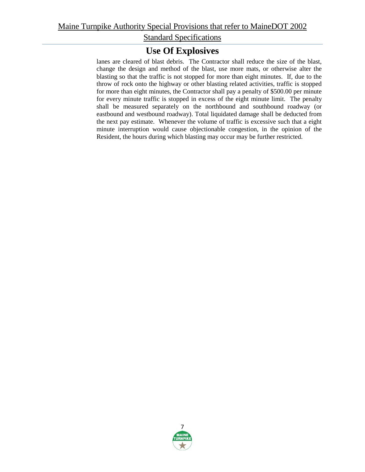## **Use Of Explosives**

lanes are cleared of blast debris. The Contractor shall reduce the size of the blast, change the design and method of the blast, use more mats, or otherwise alter the blasting so that the traffic is not stopped for more than eight minutes. If, due to the throw of rock onto the highway or other blasting related activities, traffic is stopped for more than eight minutes, the Contractor shall pay a penalty of \$500.00 per minute for every minute traffic is stopped in excess of the eight minute limit. The penalty shall be measured separately on the northbound and southbound roadway (or eastbound and westbound roadway). Total liquidated damage shall be deducted from the next pay estimate. Whenever the volume of traffic is excessive such that a eight minute interruption would cause objectionable congestion, in the opinion of the Resident, the hours during which blasting may occur may be further restricted.

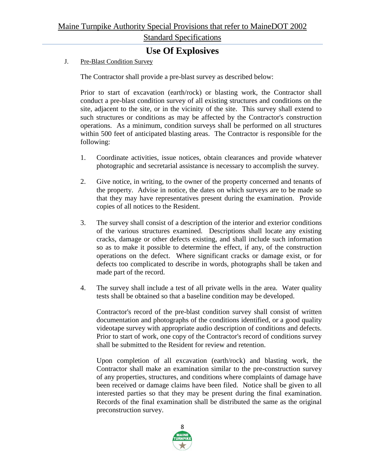## **Use Of Explosives**

J. Pre-Blast Condition Survey

The Contractor shall provide a pre-blast survey as described below:

Prior to start of excavation (earth/rock) or blasting work, the Contractor shall conduct a pre-blast condition survey of all existing structures and conditions on the site, adjacent to the site, or in the vicinity of the site. This survey shall extend to such structures or conditions as may be affected by the Contractor's construction operations. As a minimum, condition surveys shall be performed on all structures within 500 feet of anticipated blasting areas. The Contractor is responsible for the following:

- 1. Coordinate activities, issue notices, obtain clearances and provide whatever photographic and secretarial assistance is necessary to accomplish the survey.
- 2. Give notice, in writing, to the owner of the property concerned and tenants of the property. Advise in notice, the dates on which surveys are to be made so that they may have representatives present during the examination. Provide copies of all notices to the Resident.
- 3. The survey shall consist of a description of the interior and exterior conditions of the various structures examined. Descriptions shall locate any existing cracks, damage or other defects existing, and shall include such information so as to make it possible to determine the effect, if any, of the construction operations on the defect. Where significant cracks or damage exist, or for defects too complicated to describe in words, photographs shall be taken and made part of the record.
- 4. The survey shall include a test of all private wells in the area. Water quality tests shall be obtained so that a baseline condition may be developed.

Contractor's record of the pre-blast condition survey shall consist of written documentation and photographs of the conditions identified, or a good quality videotape survey with appropriate audio description of conditions and defects. Prior to start of work, one copy of the Contractor's record of conditions survey shall be submitted to the Resident for review and retention.

Upon completion of all excavation (earth/rock) and blasting work, the Contractor shall make an examination similar to the pre-construction survey of any properties, structures, and conditions where complaints of damage have been received or damage claims have been filed. Notice shall be given to all interested parties so that they may be present during the final examination. Records of the final examination shall be distributed the same as the original preconstruction survey.